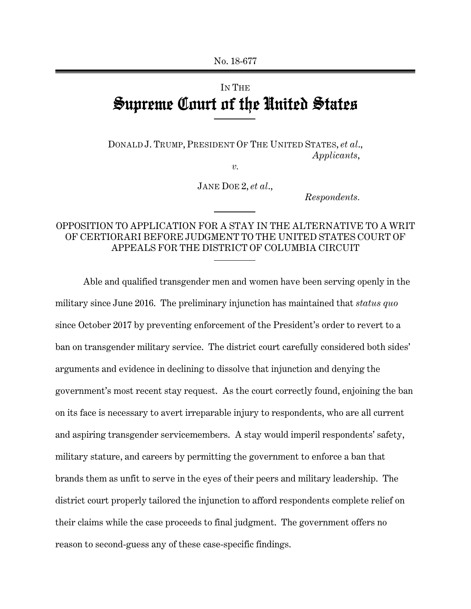# IN THE Supreme Court of the United States

DONALD J. TRUMP, PRESIDENT OF THE UNITED STATES, *et al*., *Applicants*,

*v.*

JANE DOE 2, *et al*.,

*Respondents.*

## OPPOSITION TO APPLICATION FOR A STAY IN THE ALTERNATIVE TO A WRIT OF CERTIORARI BEFORE JUDGMENT TO THE UNITED STATES COURT OF APPEALS FOR THE DISTRICT OF COLUMBIA CIRCUIT

Able and qualified transgender men and women have been serving openly in the military since June 2016. The preliminary injunction has maintained that *status quo* since October 2017 by preventing enforcement of the President's order to revert to a ban on transgender military service. The district court carefully considered both sides' arguments and evidence in declining to dissolve that injunction and denying the government's most recent stay request. As the court correctly found, enjoining the ban on its face is necessary to avert irreparable injury to respondents, who are all current and aspiring transgender servicemembers. A stay would imperil respondents' safety, military stature, and careers by permitting the government to enforce a ban that brands them as unfit to serve in the eyes of their peers and military leadership. The district court properly tailored the injunction to afford respondents complete relief on their claims while the case proceeds to final judgment. The government offers no reason to second-guess any of these case-specific findings.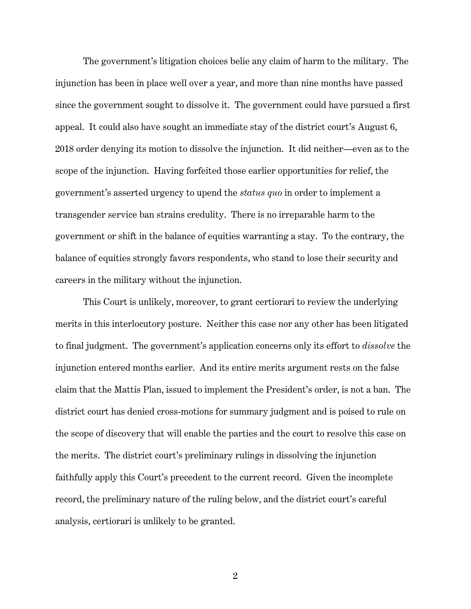The government's litigation choices belie any claim of harm to the military. The injunction has been in place well over a year, and more than nine months have passed since the government sought to dissolve it. The government could have pursued a first appeal. It could also have sought an immediate stay of the district court's August 6, 2018 order denying its motion to dissolve the injunction. It did neither—even as to the scope of the injunction. Having forfeited those earlier opportunities for relief, the government's asserted urgency to upend the *status quo* in order to implement a transgender service ban strains credulity. There is no irreparable harm to the government or shift in the balance of equities warranting a stay. To the contrary, the balance of equities strongly favors respondents, who stand to lose their security and careers in the military without the injunction.

This Court is unlikely, moreover, to grant certiorari to review the underlying merits in this interlocutory posture. Neither this case nor any other has been litigated to final judgment. The government's application concerns only its effort to *dissolve* the injunction entered months earlier. And its entire merits argument rests on the false claim that the Mattis Plan, issued to implement the President's order, is not a ban. The district court has denied cross-motions for summary judgment and is poised to rule on the scope of discovery that will enable the parties and the court to resolve this case on the merits. The district court's preliminary rulings in dissolving the injunction faithfully apply this Court's precedent to the current record. Given the incomplete record, the preliminary nature of the ruling below, and the district court's careful analysis, certiorari is unlikely to be granted.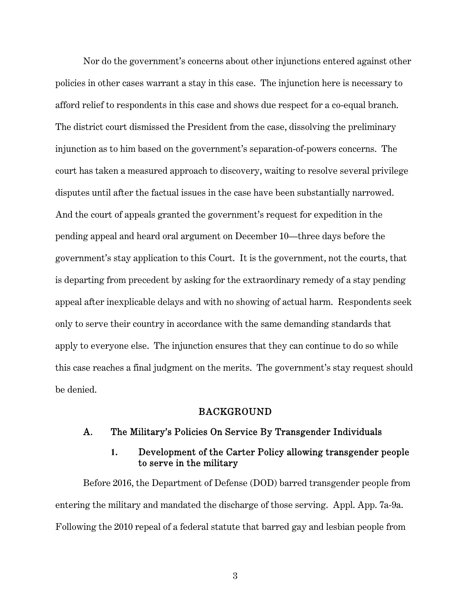Nor do the government's concerns about other injunctions entered against other policies in other cases warrant a stay in this case. The injunction here is necessary to afford relief to respondents in this case and shows due respect for a co-equal branch. The district court dismissed the President from the case, dissolving the preliminary injunction as to him based on the government's separation-of-powers concerns. The court has taken a measured approach to discovery, waiting to resolve several privilege disputes until after the factual issues in the case have been substantially narrowed. And the court of appeals granted the government's request for expedition in the pending appeal and heard oral argument on December 10—three days before the government's stay application to this Court. It is the government, not the courts, that is departing from precedent by asking for the extraordinary remedy of a stay pending appeal after inexplicable delays and with no showing of actual harm. Respondents seek only to serve their country in accordance with the same demanding standards that apply to everyone else. The injunction ensures that they can continue to do so while this case reaches a final judgment on the merits. The government's stay request should be denied.

#### BACKGROUND

#### A. The Military's Policies On Service By Transgender Individuals

## **1.** Development of the Carter Policy allowing transgender people to serve in the military

Before 2016, the Department of Defense (DOD) barred transgender people from entering the military and mandated the discharge of those serving. Appl. App. 7a-9a. Following the 2010 repeal of a federal statute that barred gay and lesbian people from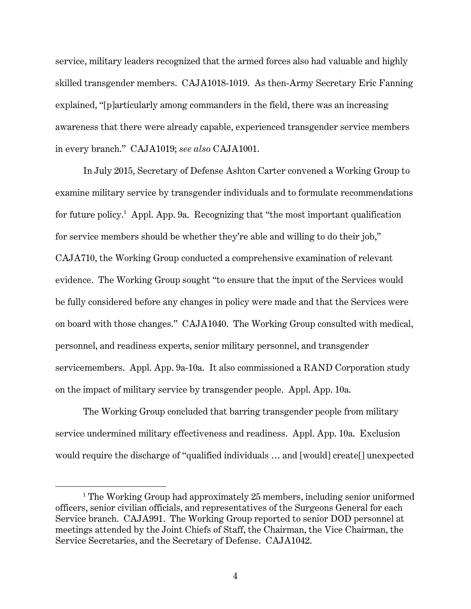service, military leaders recognized that the armed forces also had valuable and highly skilled transgender members. CAJA1018-1019. As then-Army Secretary Eric Fanning explained, "[p]articularly among commanders in the field, there was an increasing awareness that there were already capable, experienced transgender service members in every branch." CAJA1019; *see also* CAJA1001.

In July 2015, Secretary of Defense Ashton Carter convened a Working Group to examine military service by transgender individuals and to formulate recommendations for future policy.<sup>1</sup> Appl. App. 9a. Recognizing that "the most important qualification for service members should be whether they're able and willing to do their job," CAJA710, the Working Group conducted a comprehensive examination of relevant evidence. The Working Group sought "to ensure that the input of the Services would be fully considered before any changes in policy were made and that the Services were on board with those changes." CAJA1040. The Working Group consulted with medical, personnel, and readiness experts, senior military personnel, and transgender servicemembers. Appl. App. 9a-10a. It also commissioned a RAND Corporation study on the impact of military service by transgender people. Appl. App. 10a.

The Working Group concluded that barring transgender people from military service undermined military effectiveness and readiness. Appl. App. 10a. Exclusion would require the discharge of "qualified individuals … and [would] create[] unexpected

<sup>&</sup>lt;sup>1</sup> The Working Group had approximately 25 members, including senior uniformed officers, senior civilian officials, and representatives of the Surgeons General for each Service branch. CAJA991. The Working Group reported to senior DOD personnel at meetings attended by the Joint Chiefs of Staff, the Chairman, the Vice Chairman, the Service Secretaries, and the Secretary of Defense. CAJA1042.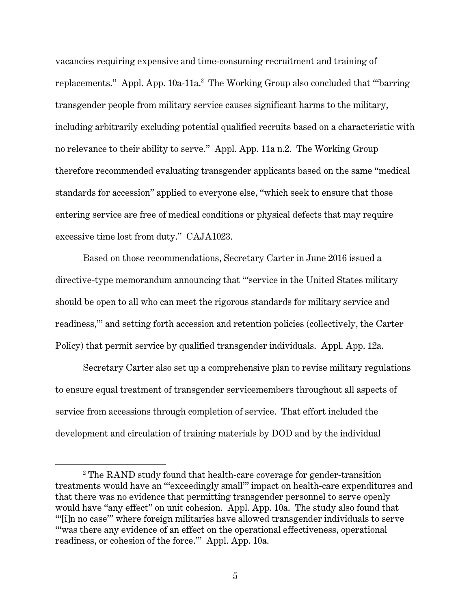vacancies requiring expensive and time-consuming recruitment and training of replacements." Appl. App. 10a-11a.<sup>2</sup> The Working Group also concluded that ""barring transgender people from military service causes significant harms to the military, including arbitrarily excluding potential qualified recruits based on a characteristic with no relevance to their ability to serve." Appl. App. 11a n.2. The Working Group therefore recommended evaluating transgender applicants based on the same "medical standards for accession" applied to everyone else, "which seek to ensure that those entering service are free of medical conditions or physical defects that may require excessive time lost from duty." CAJA1023.

Based on those recommendations, Secretary Carter in June 2016 issued a directive-type memorandum announcing that "'service in the United States military should be open to all who can meet the rigorous standards for military service and readiness,'" and setting forth accession and retention policies (collectively, the Carter Policy) that permit service by qualified transgender individuals. Appl. App. 12a.

Secretary Carter also set up a comprehensive plan to revise military regulations to ensure equal treatment of transgender servicemembers throughout all aspects of service from accessions through completion of service. That effort included the development and circulation of training materials by DOD and by the individual

<sup>&</sup>lt;sup>2</sup> The RAND study found that health-care coverage for gender-transition treatments would have an "'exceedingly small'" impact on health-care expenditures and that there was no evidence that permitting transgender personnel to serve openly would have "any effect" on unit cohesion. Appl. App. 10a. The study also found that "'[i]n no case'" where foreign militaries have allowed transgender individuals to serve "'was there any evidence of an effect on the operational effectiveness, operational readiness, or cohesion of the force.'" Appl. App. 10a.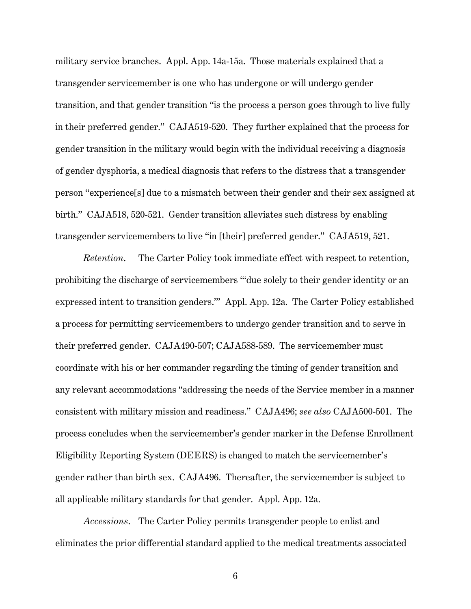military service branches. Appl. App. 14a-15a. Those materials explained that a transgender servicemember is one who has undergone or will undergo gender transition, and that gender transition "is the process a person goes through to live fully in their preferred gender." CAJA519-520. They further explained that the process for gender transition in the military would begin with the individual receiving a diagnosis of gender dysphoria, a medical diagnosis that refers to the distress that a transgender person "experience[s] due to a mismatch between their gender and their sex assigned at birth." CAJA518, 520-521. Gender transition alleviates such distress by enabling transgender servicemembers to live "in [their] preferred gender." CAJA519, 521.

*Retention*. The Carter Policy took immediate effect with respect to retention, prohibiting the discharge of servicemembers "'due solely to their gender identity or an expressed intent to transition genders.'" Appl. App. 12a. The Carter Policy established a process for permitting servicemembers to undergo gender transition and to serve in their preferred gender. CAJA490-507; CAJA588-589. The servicemember must coordinate with his or her commander regarding the timing of gender transition and any relevant accommodations "addressing the needs of the Service member in a manner consistent with military mission and readiness." CAJA496; *see also* CAJA500-501. The process concludes when the servicemember's gender marker in the Defense Enrollment Eligibility Reporting System (DEERS) is changed to match the servicemember's gender rather than birth sex. CAJA496. Thereafter, the servicemember is subject to all applicable military standards for that gender. Appl. App. 12a.

*Accessions*. The Carter Policy permits transgender people to enlist and eliminates the prior differential standard applied to the medical treatments associated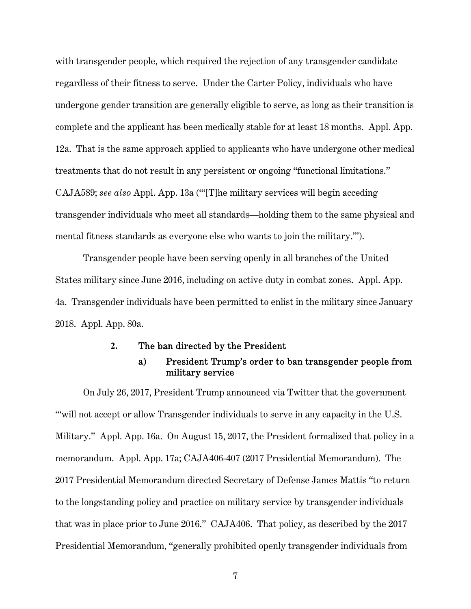with transgender people, which required the rejection of any transgender candidate regardless of their fitness to serve. Under the Carter Policy, individuals who have undergone gender transition are generally eligible to serve, as long as their transition is complete and the applicant has been medically stable for at least 18 months. Appl. App. 12a. That is the same approach applied to applicants who have undergone other medical treatments that do not result in any persistent or ongoing "functional limitations." CAJA589; *see also* Appl. App. 13a ("'[T]he military services will begin acceding transgender individuals who meet all standards—holding them to the same physical and mental fitness standards as everyone else who wants to join the military.'").

Transgender people have been serving openly in all branches of the United States military since June 2016, including on active duty in combat zones. Appl. App. 4a. Transgender individuals have been permitted to enlist in the military since January 2018. Appl. App. 80a.

#### **2.** The ban directed by the President

## a) President Trump's order to ban transgender people from military service

On July 26, 2017, President Trump announced via Twitter that the government "will not accept or allow Transgender individuals to serve in any capacity in the U.S. Military." Appl. App. 16a. On August 15, 2017, the President formalized that policy in a memorandum. Appl. App. 17a; CAJA406-407 (2017 Presidential Memorandum). The 2017 Presidential Memorandum directed Secretary of Defense James Mattis "to return to the longstanding policy and practice on military service by transgender individuals that was in place prior to June 2016." CAJA406. That policy, as described by the 2017 Presidential Memorandum, "generally prohibited openly transgender individuals from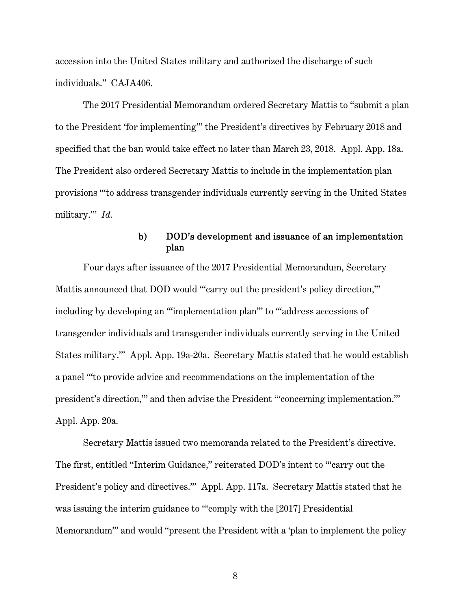accession into the United States military and authorized the discharge of such individuals." CAJA406.

The 2017 Presidential Memorandum ordered Secretary Mattis to "submit a plan to the President 'for implementing'" the President's directives by February 2018 and specified that the ban would take effect no later than March 23, 2018. Appl. App. 18a. The President also ordered Secretary Mattis to include in the implementation plan provisions "'to address transgender individuals currently serving in the United States military.'" *Id.*

## b) DOD's development and issuance of an implementation plan

Four days after issuance of the 2017 Presidential Memorandum, Secretary Mattis announced that DOD would "'carry out the president's policy direction," including by developing an "'implementation plan'" to "'address accessions of transgender individuals and transgender individuals currently serving in the United States military.'" Appl. App. 19a-20a. Secretary Mattis stated that he would establish a panel "'to provide advice and recommendations on the implementation of the president's direction,'" and then advise the President "'concerning implementation.'" Appl. App. 20a.

Secretary Mattis issued two memoranda related to the President's directive. The first, entitled "Interim Guidance," reiterated DOD's intent to "'carry out the President's policy and directives.'" Appl. App. 117a. Secretary Mattis stated that he was issuing the interim guidance to "'comply with the [2017] Presidential Memorandum'" and would "present the President with a 'plan to implement the policy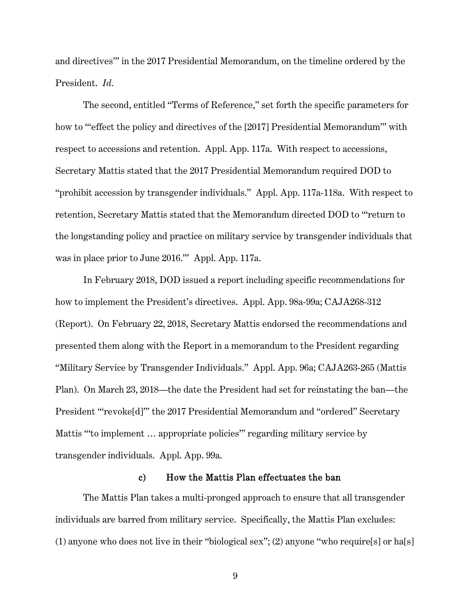and directives'" in the 2017 Presidential Memorandum, on the timeline ordered by the President. *Id*.

The second, entitled "Terms of Reference," set forth the specific parameters for how to "effect the policy and directives of the [2017] Presidential Memorandum" with respect to accessions and retention. Appl. App. 117a. With respect to accessions, Secretary Mattis stated that the 2017 Presidential Memorandum required DOD to "prohibit accession by transgender individuals." Appl. App. 117a-118a. With respect to retention, Secretary Mattis stated that the Memorandum directed DOD to "'return to the longstanding policy and practice on military service by transgender individuals that was in place prior to June 2016.'" Appl. App. 117a.

In February 2018, DOD issued a report including specific recommendations for how to implement the President's directives. Appl. App. 98a-99a; CAJA268-312 (Report). On February 22, 2018, Secretary Mattis endorsed the recommendations and presented them along with the Report in a memorandum to the President regarding "Military Service by Transgender Individuals." Appl. App. 96a; CAJA263-265 (Mattis Plan). On March 23, 2018—the date the President had set for reinstating the ban—the President "'revoke[d]'" the 2017 Presidential Memorandum and "ordered" Secretary Mattis "'to implement … appropriate policies'" regarding military service by transgender individuals. Appl. App. 99a.

#### c) How the Mattis Plan effectuates the ban

The Mattis Plan takes a multi-pronged approach to ensure that all transgender individuals are barred from military service. Specifically, the Mattis Plan excludes: (1) anyone who does not live in their "biological sex"; (2) anyone "who require[s] or ha[s]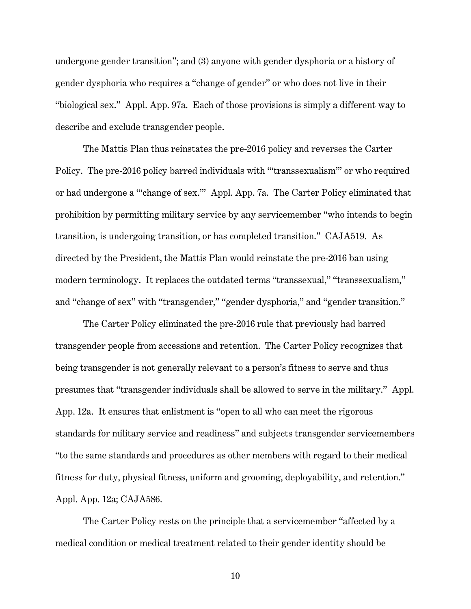undergone gender transition"; and (3) anyone with gender dysphoria or a history of gender dysphoria who requires a "change of gender" or who does not live in their "biological sex." Appl. App. 97a. Each of those provisions is simply a different way to describe and exclude transgender people.

The Mattis Plan thus reinstates the pre-2016 policy and reverses the Carter Policy. The pre-2016 policy barred individuals with "'transsexualism'" or who required or had undergone a "'change of sex.'" Appl. App. 7a. The Carter Policy eliminated that prohibition by permitting military service by any servicemember "who intends to begin transition, is undergoing transition, or has completed transition." CAJA519. As directed by the President, the Mattis Plan would reinstate the pre-2016 ban using modern terminology. It replaces the outdated terms "transsexual," "transsexualism," and "change of sex" with "transgender," "gender dysphoria," and "gender transition."

The Carter Policy eliminated the pre-2016 rule that previously had barred transgender people from accessions and retention. The Carter Policy recognizes that being transgender is not generally relevant to a person's fitness to serve and thus presumes that "transgender individuals shall be allowed to serve in the military." Appl. App. 12a. It ensures that enlistment is "open to all who can meet the rigorous standards for military service and readiness" and subjects transgender servicemembers "to the same standards and procedures as other members with regard to their medical fitness for duty, physical fitness, uniform and grooming, deployability, and retention." Appl. App. 12a; CAJA586.

The Carter Policy rests on the principle that a servicemember "affected by a medical condition or medical treatment related to their gender identity should be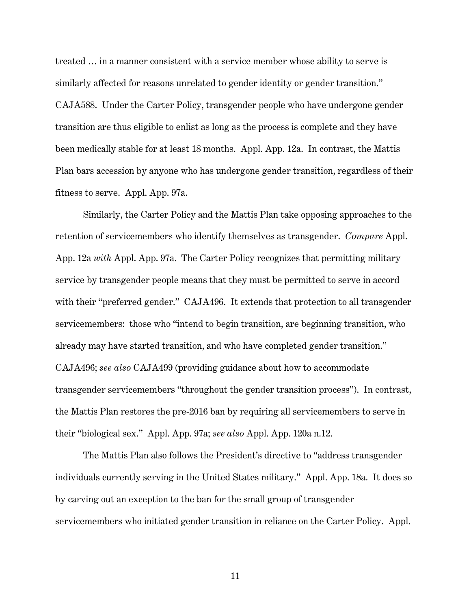treated … in a manner consistent with a service member whose ability to serve is similarly affected for reasons unrelated to gender identity or gender transition." CAJA588. Under the Carter Policy, transgender people who have undergone gender transition are thus eligible to enlist as long as the process is complete and they have been medically stable for at least 18 months. Appl. App. 12a. In contrast, the Mattis Plan bars accession by anyone who has undergone gender transition, regardless of their fitness to serve. Appl. App. 97a.

Similarly, the Carter Policy and the Mattis Plan take opposing approaches to the retention of servicemembers who identify themselves as transgender. *Compare* Appl. App. 12a *with* Appl. App. 97a. The Carter Policy recognizes that permitting military service by transgender people means that they must be permitted to serve in accord with their "preferred gender." CAJA496. It extends that protection to all transgender servicemembers: those who "intend to begin transition, are beginning transition, who already may have started transition, and who have completed gender transition." CAJA496; *see also* CAJA499 (providing guidance about how to accommodate transgender servicemembers "throughout the gender transition process"). In contrast, the Mattis Plan restores the pre-2016 ban by requiring all servicemembers to serve in their "biological sex." Appl. App. 97a; *see also* Appl. App. 120a n.12.

The Mattis Plan also follows the President's directive to "address transgender individuals currently serving in the United States military." Appl. App. 18a. It does so by carving out an exception to the ban for the small group of transgender servicemembers who initiated gender transition in reliance on the Carter Policy. Appl.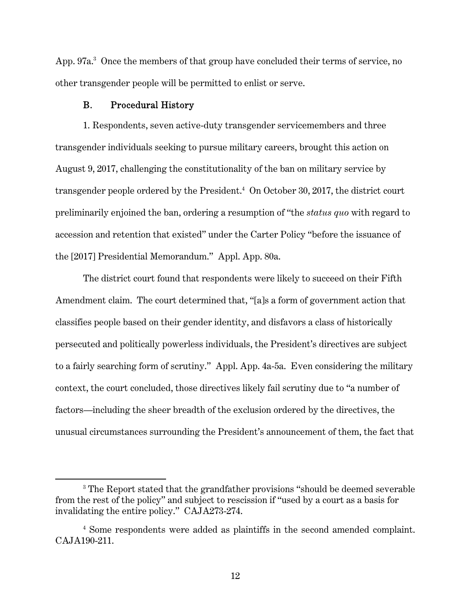App. 97a.<sup>3</sup> Once the members of that group have concluded their terms of service, no other transgender people will be permitted to enlist or serve.

## B. Procedural History

 $\overline{a}$ 

1. Respondents, seven active-duty transgender servicemembers and three transgender individuals seeking to pursue military careers, brought this action on August 9, 2017, challenging the constitutionality of the ban on military service by transgender people ordered by the President.<sup>4</sup> On October 30, 2017, the district court preliminarily enjoined the ban, ordering a resumption of "the *status quo* with regard to accession and retention that existed" under the Carter Policy "before the issuance of the [2017] Presidential Memorandum." Appl. App. 80a.

The district court found that respondents were likely to succeed on their Fifth Amendment claim. The court determined that, "[a]s a form of government action that classifies people based on their gender identity, and disfavors a class of historically persecuted and politically powerless individuals, the President's directives are subject to a fairly searching form of scrutiny." Appl. App. 4a-5a. Even considering the military context, the court concluded, those directives likely fail scrutiny due to "a number of factors—including the sheer breadth of the exclusion ordered by the directives, the unusual circumstances surrounding the President's announcement of them, the fact that

<sup>&</sup>lt;sup>3</sup> The Report stated that the grandfather provisions "should be deemed severable from the rest of the policy" and subject to rescission if "used by a court as a basis for invalidating the entire policy." CAJA273-274.

<sup>4</sup> Some respondents were added as plaintiffs in the second amended complaint. CAJA190-211.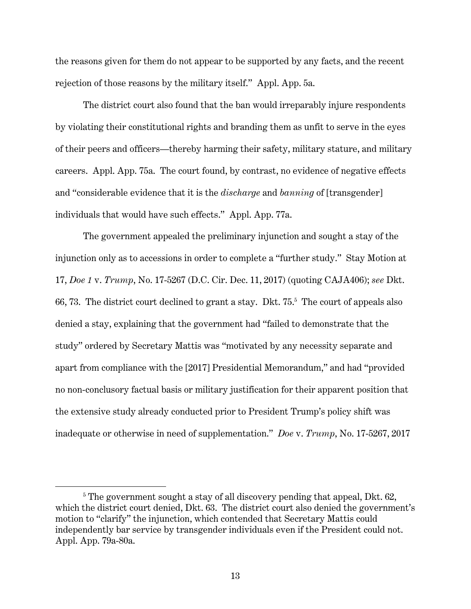the reasons given for them do not appear to be supported by any facts, and the recent rejection of those reasons by the military itself." Appl. App. 5a.

The district court also found that the ban would irreparably injure respondents by violating their constitutional rights and branding them as unfit to serve in the eyes of their peers and officers—thereby harming their safety, military stature, and military careers. Appl. App. 75a. The court found, by contrast, no evidence of negative effects and "considerable evidence that it is the *discharge* and *banning* of [transgender] individuals that would have such effects." Appl. App. 77a.

The government appealed the preliminary injunction and sought a stay of the injunction only as to accessions in order to complete a "further study." Stay Motion at 17, *Doe 1* v. *Trump*, No. 17-5267 (D.C. Cir. Dec. 11, 2017) (quoting CAJA406); *see* Dkt. 66, 73. The district court declined to grant a stay. Dkt. 75.<sup>5</sup> The court of appeals also denied a stay, explaining that the government had "failed to demonstrate that the study" ordered by Secretary Mattis was "motivated by any necessity separate and apart from compliance with the [2017] Presidential Memorandum," and had "provided no non-conclusory factual basis or military justification for their apparent position that the extensive study already conducted prior to President Trump's policy shift was inadequate or otherwise in need of supplementation." *Doe* v. *Trump*, No. 17-5267, 2017

<sup>&</sup>lt;sup>5</sup> The government sought a stay of all discovery pending that appeal, Dkt. 62, which the district court denied, Dkt. 63. The district court also denied the government's motion to "clarify" the injunction, which contended that Secretary Mattis could independently bar service by transgender individuals even if the President could not. Appl. App. 79a-80a.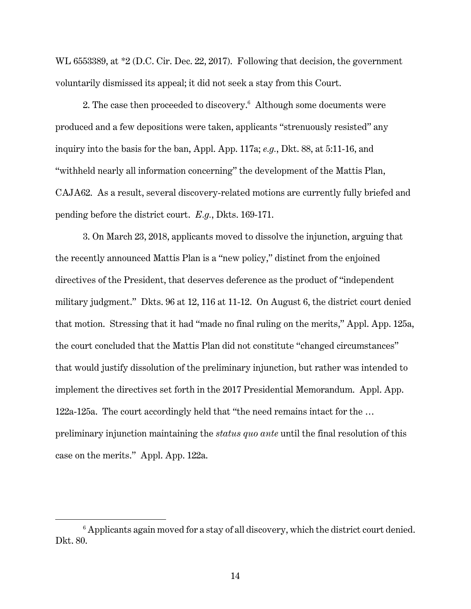WL 6553389, at \*2 (D.C. Cir. Dec. 22, 2017). Following that decision, the government voluntarily dismissed its appeal; it did not seek a stay from this Court.

2. The case then proceeded to discovery.<sup>6</sup> Although some documents were produced and a few depositions were taken, applicants "strenuously resisted" any inquiry into the basis for the ban, Appl. App. 117a; *e.g.*, Dkt. 88, at 5:11-16, and "withheld nearly all information concerning" the development of the Mattis Plan, CAJA62. As a result, several discovery-related motions are currently fully briefed and pending before the district court. *E.g.*, Dkts. 169-171.

3. On March 23, 2018, applicants moved to dissolve the injunction, arguing that the recently announced Mattis Plan is a "new policy," distinct from the enjoined directives of the President, that deserves deference as the product of "independent military judgment." Dkts. 96 at 12, 116 at 11-12. On August 6, the district court denied that motion. Stressing that it had "made no final ruling on the merits," Appl. App. 125a, the court concluded that the Mattis Plan did not constitute "changed circumstances" that would justify dissolution of the preliminary injunction, but rather was intended to implement the directives set forth in the 2017 Presidential Memorandum. Appl. App. 122a-125a. The court accordingly held that "the need remains intact for the … preliminary injunction maintaining the *status quo ante* until the final resolution of this case on the merits." Appl. App. 122a.

<sup>&</sup>lt;sup>6</sup> Applicants again moved for a stay of all discovery, which the district court denied. Dkt. 80.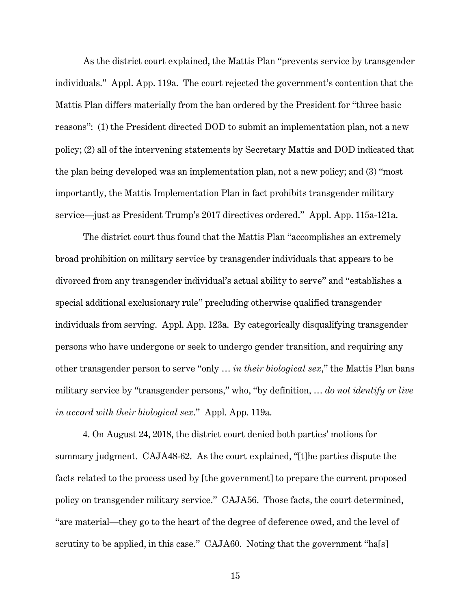As the district court explained, the Mattis Plan "prevents service by transgender individuals." Appl. App. 119a. The court rejected the government's contention that the Mattis Plan differs materially from the ban ordered by the President for "three basic reasons": (1) the President directed DOD to submit an implementation plan, not a new policy; (2) all of the intervening statements by Secretary Mattis and DOD indicated that the plan being developed was an implementation plan, not a new policy; and (3) "most importantly, the Mattis Implementation Plan in fact prohibits transgender military service—just as President Trump's 2017 directives ordered." Appl. App. 115a-121a.

The district court thus found that the Mattis Plan "accomplishes an extremely broad prohibition on military service by transgender individuals that appears to be divorced from any transgender individual's actual ability to serve" and "establishes a special additional exclusionary rule" precluding otherwise qualified transgender individuals from serving. Appl. App. 123a. By categorically disqualifying transgender persons who have undergone or seek to undergo gender transition, and requiring any other transgender person to serve "only … *in their biological sex*," the Mattis Plan bans military service by "transgender persons," who, "by definition, … *do not identify or live in accord with their biological sex*." Appl. App. 119a.

4. On August 24, 2018, the district court denied both parties' motions for summary judgment. CAJA48-62. As the court explained, "[t]he parties dispute the facts related to the process used by [the government] to prepare the current proposed policy on transgender military service." CAJA56. Those facts, the court determined, "are material—they go to the heart of the degree of deference owed, and the level of scrutiny to be applied, in this case." CAJA60. Noting that the government "ha[s]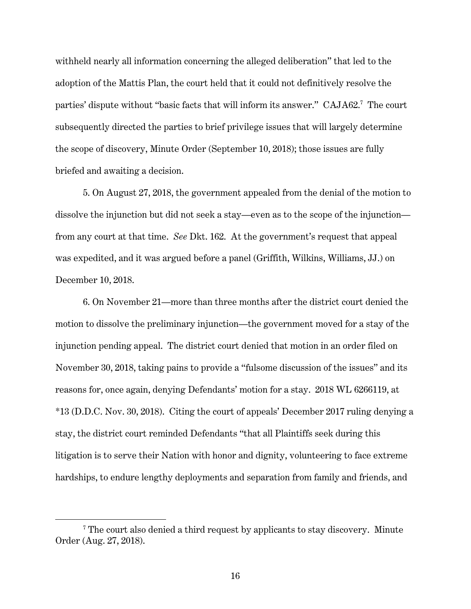withheld nearly all information concerning the alleged deliberation" that led to the adoption of the Mattis Plan, the court held that it could not definitively resolve the parties' dispute without "basic facts that will inform its answer." CAJA62.<sup>7</sup> The court subsequently directed the parties to brief privilege issues that will largely determine the scope of discovery, Minute Order (September 10, 2018); those issues are fully briefed and awaiting a decision.

5. On August 27, 2018, the government appealed from the denial of the motion to dissolve the injunction but did not seek a stay—even as to the scope of the injunction from any court at that time. *See* Dkt. 162. At the government's request that appeal was expedited, and it was argued before a panel (Griffith, Wilkins, Williams, JJ.) on December 10, 2018.

6. On November 21—more than three months after the district court denied the motion to dissolve the preliminary injunction—the government moved for a stay of the injunction pending appeal. The district court denied that motion in an order filed on November 30, 2018, taking pains to provide a "fulsome discussion of the issues" and its reasons for, once again, denying Defendants' motion for a stay. 2018 WL 6266119, at \*13 (D.D.C. Nov. 30, 2018). Citing the court of appeals' December 2017 ruling denying a stay, the district court reminded Defendants "that all Plaintiffs seek during this litigation is to serve their Nation with honor and dignity, volunteering to face extreme hardships, to endure lengthy deployments and separation from family and friends, and

<sup>&</sup>lt;sup>7</sup> The court also denied a third request by applicants to stay discovery. Minute Order (Aug. 27, 2018).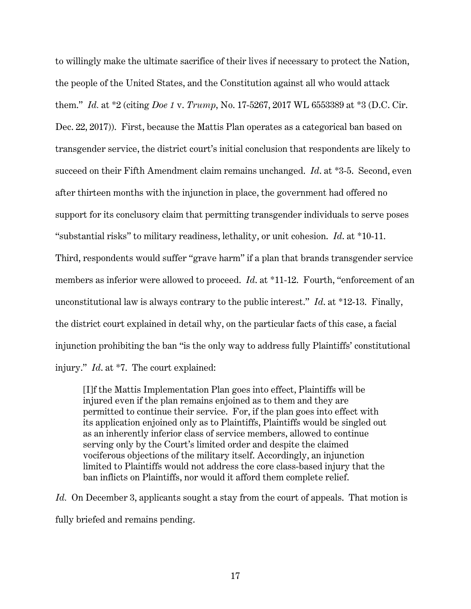to willingly make the ultimate sacrifice of their lives if necessary to protect the Nation, the people of the United States, and the Constitution against all who would attack them." *Id.* at \*2 (citing *Doe 1* v. *Trump*, No. 17-5267, 2017 WL 6553389 at \*3 (D.C. Cir. Dec. 22, 2017)). First, because the Mattis Plan operates as a categorical ban based on transgender service, the district court's initial conclusion that respondents are likely to succeed on their Fifth Amendment claim remains unchanged. *Id*. at \*3-5. Second, even after thirteen months with the injunction in place, the government had offered no support for its conclusory claim that permitting transgender individuals to serve poses "substantial risks" to military readiness, lethality, or unit cohesion. *Id*. at \*10-11. Third, respondents would suffer "grave harm" if a plan that brands transgender service members as inferior were allowed to proceed. *Id*. at \*11-12. Fourth, "enforcement of an unconstitutional law is always contrary to the public interest." *Id*. at \*12-13. Finally, the district court explained in detail why, on the particular facts of this case, a facial injunction prohibiting the ban "is the only way to address fully Plaintiffs' constitutional injury." *Id*. at \*7. The court explained:

[I]f the Mattis Implementation Plan goes into effect, Plaintiffs will be injured even if the plan remains enjoined as to them and they are permitted to continue their service. For, if the plan goes into effect with its application enjoined only as to Plaintiffs, Plaintiffs would be singled out as an inherently inferior class of service members, allowed to continue serving only by the Court's limited order and despite the claimed vociferous objections of the military itself. Accordingly, an injunction limited to Plaintiffs would not address the core class-based injury that the ban inflicts on Plaintiffs, nor would it afford them complete relief.

*Id.* On December 3, applicants sought a stay from the court of appeals. That motion is fully briefed and remains pending.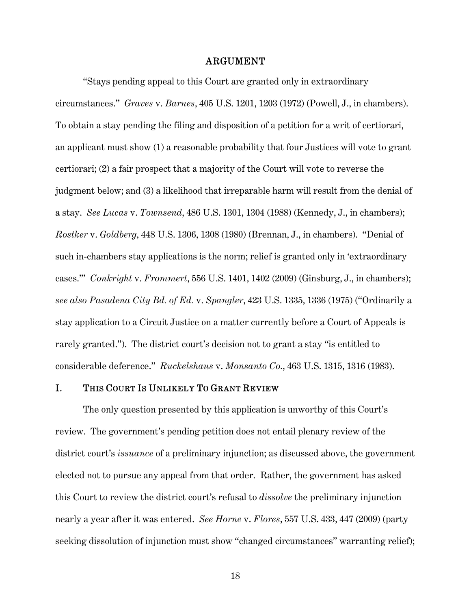#### ARGUMENT

"Stays pending appeal to this Court are granted only in extraordinary circumstances." *Graves* v. *Barnes*, 405 U.S. 1201, 1203 (1972) (Powell, J., in chambers). To obtain a stay pending the filing and disposition of a petition for a writ of certiorari, an applicant must show (1) a reasonable probability that four Justices will vote to grant certiorari; (2) a fair prospect that a majority of the Court will vote to reverse the judgment below; and (3) a likelihood that irreparable harm will result from the denial of a stay. *See Lucas* v. *Townsend*, 486 U.S. 1301, 1304 (1988) (Kennedy, J., in chambers); *Rostker* v. *Goldberg*, 448 U.S. 1306, 1308 (1980) (Brennan, J., in chambers). "Denial of such in-chambers stay applications is the norm; relief is granted only in 'extraordinary cases.'" *Conkright* v. *Frommert*, 556 U.S. 1401, 1402 (2009) (Ginsburg, J., in chambers); *see also Pasadena City Bd. of Ed.* v. *Spangler*, 423 U.S. 1335, 1336 (1975) ("Ordinarily a stay application to a Circuit Justice on a matter currently before a Court of Appeals is rarely granted."). The district court's decision not to grant a stay "is entitled to considerable deference." *Ruckelshaus* v. *Monsanto Co.*, 463 U.S. 1315, 1316 (1983).

### I. THIS COURT IS UNLIKELY TO GRANT REVIEW

The only question presented by this application is unworthy of this Court's review. The government's pending petition does not entail plenary review of the district court's *issuance* of a preliminary injunction; as discussed above, the government elected not to pursue any appeal from that order. Rather, the government has asked this Court to review the district court's refusal to *dissolve* the preliminary injunction nearly a year after it was entered. *See Horne* v. *Flores*, 557 U.S. 433, 447 (2009) (party seeking dissolution of injunction must show "changed circumstances" warranting relief);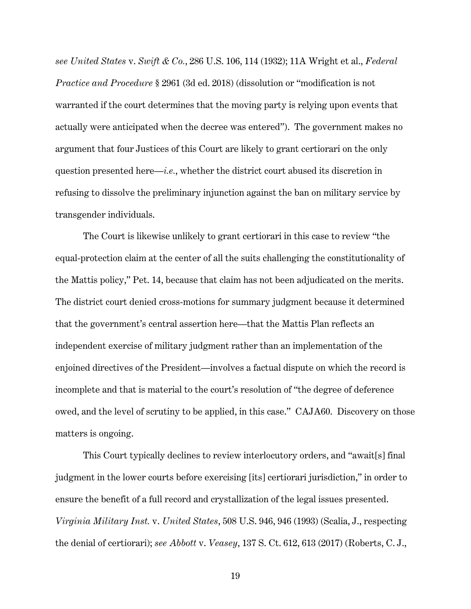*see United States* v. *Swift & Co.*, 286 U.S. 106, 114 (1932); 11A Wright et al., *Federal Practice and Procedure* § 2961 (3d ed. 2018) (dissolution or "modification is not warranted if the court determines that the moving party is relying upon events that actually were anticipated when the decree was entered"). The government makes no argument that four Justices of this Court are likely to grant certiorari on the only question presented here—*i.e.*, whether the district court abused its discretion in refusing to dissolve the preliminary injunction against the ban on military service by transgender individuals.

The Court is likewise unlikely to grant certiorari in this case to review "the equal-protection claim at the center of all the suits challenging the constitutionality of the Mattis policy," Pet. 14, because that claim has not been adjudicated on the merits. The district court denied cross-motions for summary judgment because it determined that the government's central assertion here—that the Mattis Plan reflects an independent exercise of military judgment rather than an implementation of the enjoined directives of the President—involves a factual dispute on which the record is incomplete and that is material to the court's resolution of "the degree of deference owed, and the level of scrutiny to be applied, in this case." CAJA60. Discovery on those matters is ongoing.

This Court typically declines to review interlocutory orders, and "await[s] final judgment in the lower courts before exercising [its] certiorari jurisdiction," in order to ensure the benefit of a full record and crystallization of the legal issues presented. *Virginia Military Inst.* v. *United States*, 508 U.S. 946, 946 (1993) (Scalia, J., respecting the denial of certiorari); *see Abbott* v. *Veasey*, 137 S. Ct. 612, 613 (2017) (Roberts, C. J.,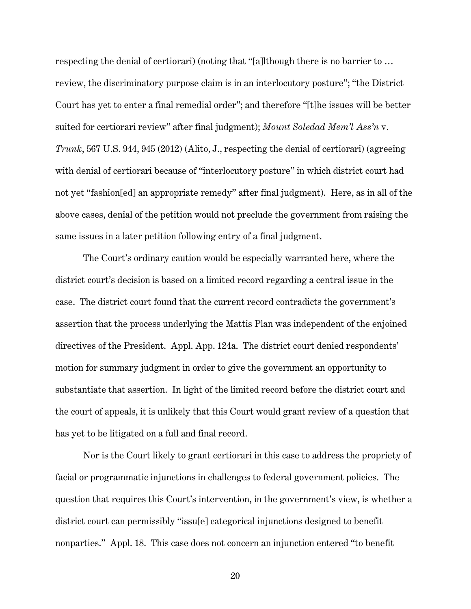respecting the denial of certiorari) (noting that "[a]lthough there is no barrier to … review, the discriminatory purpose claim is in an interlocutory posture"; "the District Court has yet to enter a final remedial order"; and therefore "[t]he issues will be better suited for certiorari review" after final judgment); *Mount Soledad Mem'l Ass'n* v. *Trunk*, 567 U.S. 944, 945 (2012) (Alito, J., respecting the denial of certiorari) (agreeing with denial of certiorari because of "interlocutory posture" in which district court had not yet "fashion[ed] an appropriate remedy" after final judgment). Here, as in all of the above cases, denial of the petition would not preclude the government from raising the same issues in a later petition following entry of a final judgment.

The Court's ordinary caution would be especially warranted here, where the district court's decision is based on a limited record regarding a central issue in the case. The district court found that the current record contradicts the government's assertion that the process underlying the Mattis Plan was independent of the enjoined directives of the President. Appl. App. 124a. The district court denied respondents' motion for summary judgment in order to give the government an opportunity to substantiate that assertion. In light of the limited record before the district court and the court of appeals, it is unlikely that this Court would grant review of a question that has yet to be litigated on a full and final record.

Nor is the Court likely to grant certiorari in this case to address the propriety of facial or programmatic injunctions in challenges to federal government policies. The question that requires this Court's intervention, in the government's view, is whether a district court can permissibly "issu[e] categorical injunctions designed to benefit nonparties." Appl. 18. This case does not concern an injunction entered "to benefit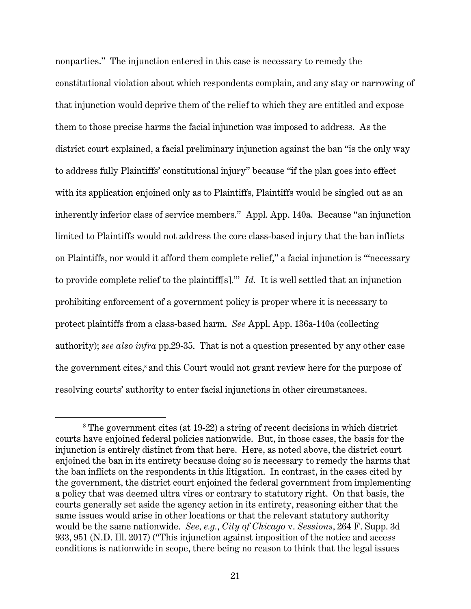nonparties." The injunction entered in this case is necessary to remedy the constitutional violation about which respondents complain, and any stay or narrowing of that injunction would deprive them of the relief to which they are entitled and expose them to those precise harms the facial injunction was imposed to address. As the district court explained, a facial preliminary injunction against the ban "is the only way to address fully Plaintiffs' constitutional injury" because "if the plan goes into effect with its application enjoined only as to Plaintiffs, Plaintiffs would be singled out as an inherently inferior class of service members." Appl. App. 140a. Because "an injunction limited to Plaintiffs would not address the core class-based injury that the ban inflicts on Plaintiffs, nor would it afford them complete relief," a facial injunction is "'necessary to provide complete relief to the plaintiff[s].'" *Id.* It is well settled that an injunction prohibiting enforcement of a government policy is proper where it is necessary to protect plaintiffs from a class-based harm. *See* Appl. App. 136a-140a (collecting authority); *see also infra* pp.29-35. That is not a question presented by any other case the government cites,<sup>8</sup> and this Court would not grant review here for the purpose of resolving courts' authority to enter facial injunctions in other circumstances.

<sup>&</sup>lt;sup>8</sup> The government cites (at 19-22) a string of recent decisions in which district courts have enjoined federal policies nationwide. But, in those cases, the basis for the injunction is entirely distinct from that here. Here, as noted above, the district court enjoined the ban in its entirety because doing so is necessary to remedy the harms that the ban inflicts on the respondents in this litigation. In contrast, in the cases cited by the government, the district court enjoined the federal government from implementing a policy that was deemed ultra vires or contrary to statutory right. On that basis, the courts generally set aside the agency action in its entirety, reasoning either that the same issues would arise in other locations or that the relevant statutory authority would be the same nationwide. *See, e.g.*, *City of Chicago* v. *Sessions*, 264 F. Supp. 3d 933, 951 (N.D. Ill. 2017) ("This injunction against imposition of the notice and access conditions is nationwide in scope, there being no reason to think that the legal issues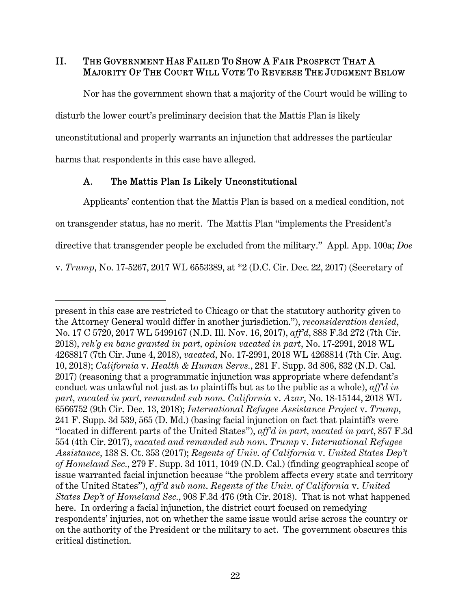II. THE GOVERNMENT HAS FAILED TO SHOW A FAIR PROSPECT THAT A MAJORITY OF THE COURT WILL VOTE TO REVERSE THE JUDGMENT BELOW

Nor has the government shown that a majority of the Court would be willing to disturb the lower court's preliminary decision that the Mattis Plan is likely unconstitutional and properly warrants an injunction that addresses the particular harms that respondents in this case have alleged.

## A. The Mattis Plan Is Likely Unconstitutional

 $\overline{a}$ 

Applicants' contention that the Mattis Plan is based on a medical condition, not on transgender status, has no merit. The Mattis Plan "implements the President's directive that transgender people be excluded from the military." Appl. App. 100a; *Doe*  v. *Trump*, No. 17-5267, 2017 WL 6553389, at \*2 (D.C. Cir. Dec. 22, 2017) (Secretary of

present in this case are restricted to Chicago or that the statutory authority given to the Attorney General would differ in another jurisdiction."), *reconsideration denied*, No. 17 C 5720, 2017 WL 5499167 (N.D. Ill. Nov. 16, 2017), *aff'd*, 888 F.3d 272 (7th Cir. 2018), *reh'g en banc granted in part, opinion vacated in part*, No. 17-2991, 2018 WL 4268817 (7th Cir. June 4, 2018), *vacated*, No. 17-2991, 2018 WL 4268814 (7th Cir. Aug. 10, 2018); *California* v. *Health & Human Servs.*, 281 F. Supp. 3d 806, 832 (N.D. Cal. 2017) (reasoning that a programmatic injunction was appropriate where defendant's conduct was unlawful not just as to plaintiffs but as to the public as a whole), *aff'd in part, vacated in part, remanded sub nom. California* v. *Azar*, No. 18-15144, 2018 WL 6566752 (9th Cir. Dec. 13, 2018); *International Refugee Assistance Project* v. *Trump*, 241 F. Supp. 3d 539, 565 (D. Md.) (basing facial injunction on fact that plaintiffs were "located in different parts of the United States"), *aff'd in part, vacated in part*, 857 F.3d 554 (4th Cir. 2017), *vacated and remanded sub nom*. *Trump* v. *International Refugee Assistance*, 138 S. Ct. 353 (2017); *Regents of Univ. of California* v. *United States Dep't of Homeland Sec.*, 279 F. Supp. 3d 1011, 1049 (N.D. Cal.) (finding geographical scope of issue warranted facial injunction because "the problem affects every state and territory of the United States"), *aff'd sub nom*. *Regents of the Univ. of California* v. *United States Dep't of Homeland Sec.*, 908 F.3d 476 (9th Cir. 2018). That is not what happened here. In ordering a facial injunction, the district court focused on remedying respondents' injuries, not on whether the same issue would arise across the country or on the authority of the President or the military to act. The government obscures this critical distinction.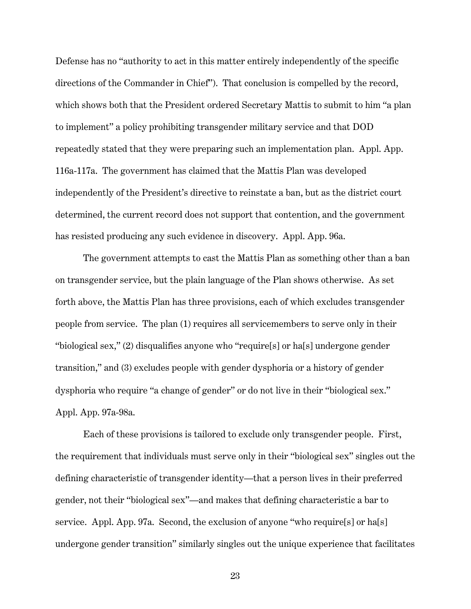Defense has no "authority to act in this matter entirely independently of the specific directions of the Commander in Chief"). That conclusion is compelled by the record, which shows both that the President ordered Secretary Mattis to submit to him "a plan to implement" a policy prohibiting transgender military service and that DOD repeatedly stated that they were preparing such an implementation plan. Appl. App. 116a-117a. The government has claimed that the Mattis Plan was developed independently of the President's directive to reinstate a ban, but as the district court determined, the current record does not support that contention, and the government has resisted producing any such evidence in discovery. Appl. App. 96a.

The government attempts to cast the Mattis Plan as something other than a ban on transgender service, but the plain language of the Plan shows otherwise. As set forth above, the Mattis Plan has three provisions, each of which excludes transgender people from service. The plan (1) requires all servicemembers to serve only in their "biological sex," (2) disqualifies anyone who "require[s] or ha[s] undergone gender transition," and (3) excludes people with gender dysphoria or a history of gender dysphoria who require "a change of gender" or do not live in their "biological sex." Appl. App. 97a-98a.

Each of these provisions is tailored to exclude only transgender people. First, the requirement that individuals must serve only in their "biological sex" singles out the defining characteristic of transgender identity—that a person lives in their preferred gender, not their "biological sex"—and makes that defining characteristic a bar to service. Appl. App. 97a. Second, the exclusion of anyone "who require [s] or has undergone gender transition" similarly singles out the unique experience that facilitates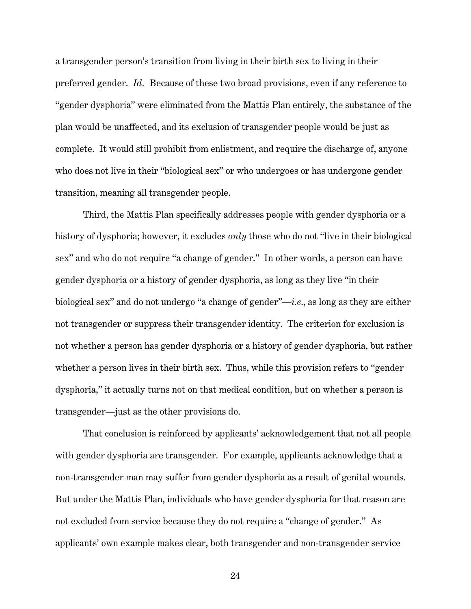a transgender person's transition from living in their birth sex to living in their preferred gender. *Id*. Because of these two broad provisions, even if any reference to "gender dysphoria" were eliminated from the Mattis Plan entirely, the substance of the plan would be unaffected, and its exclusion of transgender people would be just as complete. It would still prohibit from enlistment, and require the discharge of, anyone who does not live in their "biological sex" or who undergoes or has undergone gender transition, meaning all transgender people.

Third, the Mattis Plan specifically addresses people with gender dysphoria or a history of dysphoria; however, it excludes *only* those who do not "live in their biological sex" and who do not require "a change of gender." In other words, a person can have gender dysphoria or a history of gender dysphoria, as long as they live "in their biological sex" and do not undergo "a change of gender"—*i.e*., as long as they are either not transgender or suppress their transgender identity. The criterion for exclusion is not whether a person has gender dysphoria or a history of gender dysphoria, but rather whether a person lives in their birth sex. Thus, while this provision refers to "gender dysphoria," it actually turns not on that medical condition, but on whether a person is transgender—just as the other provisions do.

That conclusion is reinforced by applicants' acknowledgement that not all people with gender dysphoria are transgender. For example, applicants acknowledge that a non-transgender man may suffer from gender dysphoria as a result of genital wounds. But under the Mattis Plan, individuals who have gender dysphoria for that reason are not excluded from service because they do not require a "change of gender." As applicants' own example makes clear, both transgender and non-transgender service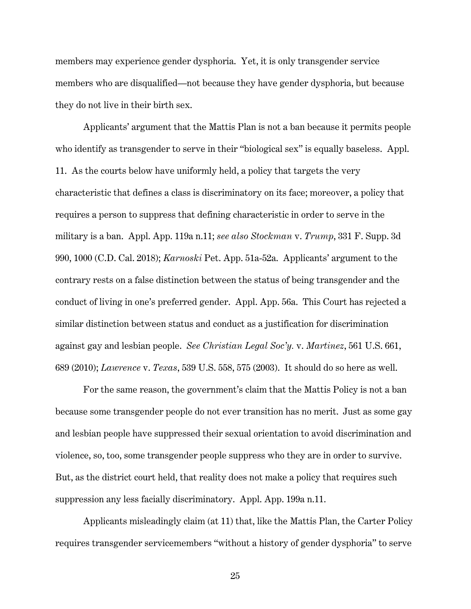members may experience gender dysphoria. Yet, it is only transgender service members who are disqualified—not because they have gender dysphoria, but because they do not live in their birth sex.

Applicants' argument that the Mattis Plan is not a ban because it permits people who identify as transgender to serve in their "biological sex" is equally baseless. Appl. 11. As the courts below have uniformly held, a policy that targets the very characteristic that defines a class is discriminatory on its face; moreover, a policy that requires a person to suppress that defining characteristic in order to serve in the military is a ban. Appl. App. 119a n.11; *see also Stockman* v. *Trump*, 331 F. Supp. 3d 990, 1000 (C.D. Cal. 2018); *Karnoski* Pet. App. 51a-52a. Applicants' argument to the contrary rests on a false distinction between the status of being transgender and the conduct of living in one's preferred gender. Appl. App. 56a. This Court has rejected a similar distinction between status and conduct as a justification for discrimination against gay and lesbian people. *See Christian Legal Soc'y.* v. *Martinez*, 561 U.S. 661, 689 (2010); *Lawrence* v. *Texas*, 539 U.S. 558, 575 (2003). It should do so here as well.

For the same reason, the government's claim that the Mattis Policy is not a ban because some transgender people do not ever transition has no merit. Just as some gay and lesbian people have suppressed their sexual orientation to avoid discrimination and violence, so, too, some transgender people suppress who they are in order to survive. But, as the district court held, that reality does not make a policy that requires such suppression any less facially discriminatory. Appl. App. 199a n.11.

Applicants misleadingly claim (at 11) that, like the Mattis Plan, the Carter Policy requires transgender servicemembers "without a history of gender dysphoria" to serve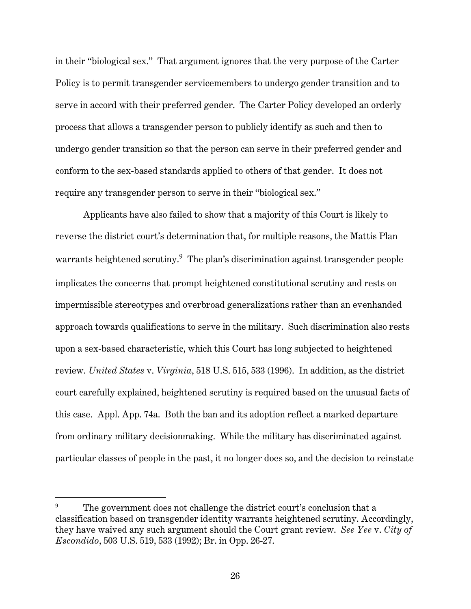in their "biological sex." That argument ignores that the very purpose of the Carter Policy is to permit transgender servicemembers to undergo gender transition and to serve in accord with their preferred gender. The Carter Policy developed an orderly process that allows a transgender person to publicly identify as such and then to undergo gender transition so that the person can serve in their preferred gender and conform to the sex-based standards applied to others of that gender. It does not require any transgender person to serve in their "biological sex."

Applicants have also failed to show that a majority of this Court is likely to reverse the district court's determination that, for multiple reasons, the Mattis Plan warrants heightened scrutiny.<sup>9</sup> The plan's discrimination against transgender people implicates the concerns that prompt heightened constitutional scrutiny and rests on impermissible stereotypes and overbroad generalizations rather than an evenhanded approach towards qualifications to serve in the military. Such discrimination also rests upon a sex-based characteristic, which this Court has long subjected to heightened review. *United States* v. *Virginia*, 518 U.S. 515, 533 (1996). In addition, as the district court carefully explained, heightened scrutiny is required based on the unusual facts of this case. Appl. App. 74a. Both the ban and its adoption reflect a marked departure from ordinary military decisionmaking. While the military has discriminated against particular classes of people in the past, it no longer does so, and the decision to reinstate

<sup>9</sup> The government does not challenge the district court's conclusion that a classification based on transgender identity warrants heightened scrutiny. Accordingly, they have waived any such argument should the Court grant review. *See Yee* v. *City of Escondido*, 503 U.S. 519, 533 (1992); Br. in Opp. 26-27.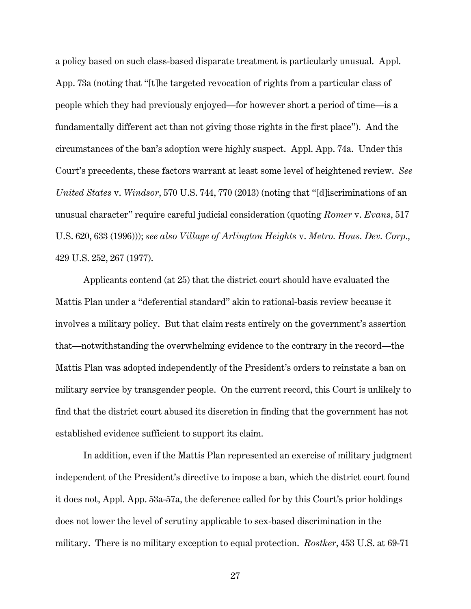a policy based on such class-based disparate treatment is particularly unusual. Appl. App. 73a (noting that "[t]he targeted revocation of rights from a particular class of people which they had previously enjoyed—for however short a period of time—is a fundamentally different act than not giving those rights in the first place"). And the circumstances of the ban's adoption were highly suspect. Appl. App. 74a. Under this Court's precedents, these factors warrant at least some level of heightened review. *See United States* v. *Windsor*, 570 U.S. 744, 770 (2013) (noting that "[d]iscriminations of an unusual character" require careful judicial consideration (quoting *Romer* v. *Evans*, 517 U.S. 620, 633 (1996))); *see also Village of Arlington Heights* v. *Metro. Hous. Dev. Corp*., 429 U.S. 252, 267 (1977).

Applicants contend (at 25) that the district court should have evaluated the Mattis Plan under a "deferential standard" akin to rational-basis review because it involves a military policy. But that claim rests entirely on the government's assertion that—notwithstanding the overwhelming evidence to the contrary in the record—the Mattis Plan was adopted independently of the President's orders to reinstate a ban on military service by transgender people. On the current record, this Court is unlikely to find that the district court abused its discretion in finding that the government has not established evidence sufficient to support its claim.

In addition, even if the Mattis Plan represented an exercise of military judgment independent of the President's directive to impose a ban, which the district court found it does not, Appl. App. 53a-57a, the deference called for by this Court's prior holdings does not lower the level of scrutiny applicable to sex-based discrimination in the military. There is no military exception to equal protection. *Rostker*, 453 U.S. at 69-71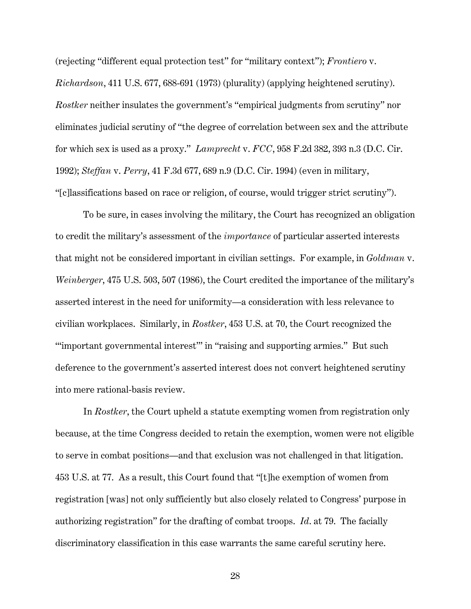(rejecting "different equal protection test" for "military context"); *Frontiero* v. *Richardson*, 411 U.S. 677, 688-691 (1973) (plurality) (applying heightened scrutiny). *Rostker* neither insulates the government's "empirical judgments from scrutiny" nor eliminates judicial scrutiny of "the degree of correlation between sex and the attribute for which sex is used as a proxy." *Lamprecht* v. *FCC*, 958 F.2d 382, 393 n.3 (D.C. Cir. 1992); *Steffan* v. *Perry*, 41 F.3d 677, 689 n.9 (D.C. Cir. 1994) (even in military, "[c]lassifications based on race or religion, of course, would trigger strict scrutiny").

To be sure, in cases involving the military, the Court has recognized an obligation to credit the military's assessment of the *importance* of particular asserted interests that might not be considered important in civilian settings. For example, in *Goldman* v. *Weinberger*, 475 U.S. 503, 507 (1986), the Court credited the importance of the military's asserted interest in the need for uniformity—a consideration with less relevance to civilian workplaces. Similarly, in *Rostker*, 453 U.S. at 70, the Court recognized the "'important governmental interest'" in "raising and supporting armies." But such deference to the government's asserted interest does not convert heightened scrutiny into mere rational-basis review.

In *Rostker*, the Court upheld a statute exempting women from registration only because, at the time Congress decided to retain the exemption, women were not eligible to serve in combat positions—and that exclusion was not challenged in that litigation. 453 U.S. at 77. As a result, this Court found that "[t]he exemption of women from registration [was] not only sufficiently but also closely related to Congress' purpose in authorizing registration" for the drafting of combat troops. *Id*. at 79. The facially discriminatory classification in this case warrants the same careful scrutiny here.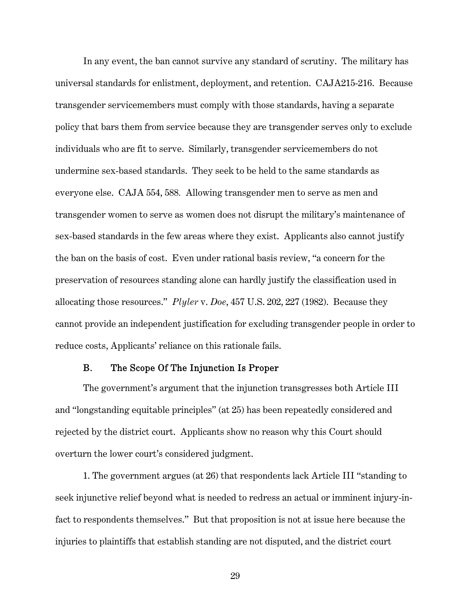In any event, the ban cannot survive any standard of scrutiny. The military has universal standards for enlistment, deployment, and retention. CAJA215-216. Because transgender servicemembers must comply with those standards, having a separate policy that bars them from service because they are transgender serves only to exclude individuals who are fit to serve. Similarly, transgender servicemembers do not undermine sex-based standards. They seek to be held to the same standards as everyone else. CAJA 554, 588*.* Allowing transgender men to serve as men and transgender women to serve as women does not disrupt the military's maintenance of sex-based standards in the few areas where they exist. Applicants also cannot justify the ban on the basis of cost. Even under rational basis review, "a concern for the preservation of resources standing alone can hardly justify the classification used in allocating those resources." *Plyler* v. *Doe*, 457 U.S. 202, 227 (1982). Because they cannot provide an independent justification for excluding transgender people in order to reduce costs, Applicants' reliance on this rationale fails.

### B. The Scope Of The Injunction Is Proper

The government's argument that the injunction transgresses both Article III and "longstanding equitable principles" (at 25) has been repeatedly considered and rejected by the district court. Applicants show no reason why this Court should overturn the lower court's considered judgment.

1. The government argues (at 26) that respondents lack Article III "standing to seek injunctive relief beyond what is needed to redress an actual or imminent injury-infact to respondents themselves." But that proposition is not at issue here because the injuries to plaintiffs that establish standing are not disputed, and the district court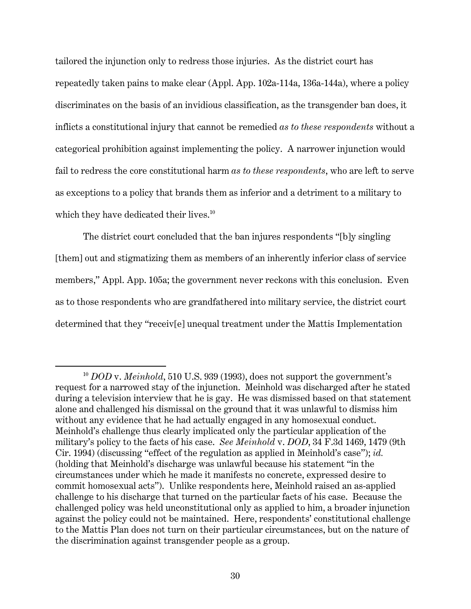tailored the injunction only to redress those injuries. As the district court has repeatedly taken pains to make clear (Appl. App. 102a-114a, 136a-144a), where a policy discriminates on the basis of an invidious classification, as the transgender ban does, it inflicts a constitutional injury that cannot be remedied *as to these respondents* without a categorical prohibition against implementing the policy. A narrower injunction would fail to redress the core constitutional harm *as to these respondents*, who are left to serve as exceptions to a policy that brands them as inferior and a detriment to a military to which they have dedicated their lives.<sup>10</sup>

The district court concluded that the ban injures respondents "[b]y singling [them] out and stigmatizing them as members of an inherently inferior class of service members," Appl. App. 105a; the government never reckons with this conclusion. Even as to those respondents who are grandfathered into military service, the district court determined that they "receiv[e] unequal treatment under the Mattis Implementation

<sup>10</sup> *DOD* v. *Meinhold*, 510 U.S. 939 (1993), does not support the government's request for a narrowed stay of the injunction. Meinhold was discharged after he stated during a television interview that he is gay. He was dismissed based on that statement alone and challenged his dismissal on the ground that it was unlawful to dismiss him without any evidence that he had actually engaged in any homosexual conduct. Meinhold's challenge thus clearly implicated only the particular application of the military's policy to the facts of his case. *See Meinhold* v. *DOD*, 34 F.3d 1469, 1479 (9th Cir. 1994) (discussing "effect of the regulation as applied in Meinhold's case"); *id.* (holding that Meinhold's discharge was unlawful because his statement "in the circumstances under which he made it manifests no concrete, expressed desire to commit homosexual acts"). Unlike respondents here, Meinhold raised an as-applied challenge to his discharge that turned on the particular facts of his case. Because the challenged policy was held unconstitutional only as applied to him, a broader injunction against the policy could not be maintained. Here, respondents' constitutional challenge to the Mattis Plan does not turn on their particular circumstances, but on the nature of the discrimination against transgender people as a group.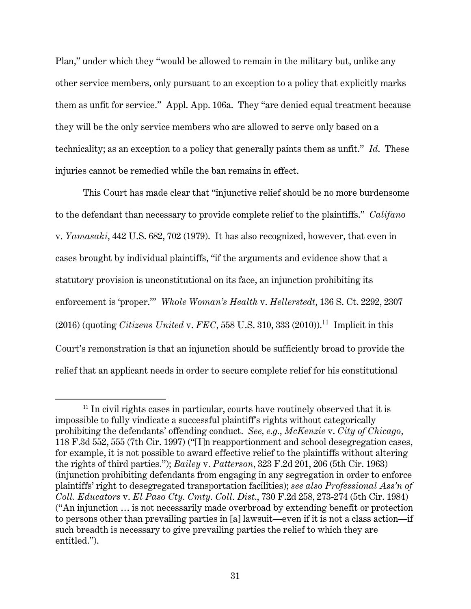Plan," under which they "would be allowed to remain in the military but, unlike any other service members, only pursuant to an exception to a policy that explicitly marks them as unfit for service." Appl. App. 106a. They "are denied equal treatment because they will be the only service members who are allowed to serve only based on a technicality; as an exception to a policy that generally paints them as unfit." *Id*. These injuries cannot be remedied while the ban remains in effect.

This Court has made clear that "injunctive relief should be no more burdensome to the defendant than necessary to provide complete relief to the plaintiffs." *Califano*  v. *Yamasaki*, 442 U.S. 682, 702 (1979). It has also recognized, however, that even in cases brought by individual plaintiffs, "if the arguments and evidence show that a statutory provision is unconstitutional on its face, an injunction prohibiting its enforcement is 'proper.'" *Whole Woman's Health* v. *Hellerstedt*, 136 S. Ct. 2292, 2307  $(2016)$  (quoting *Citizens United v. FEC*, 558 U.S. 310, 333  $(2010)$ .<sup>11</sup> Implicit in this Court's remonstration is that an injunction should be sufficiently broad to provide the relief that an applicant needs in order to secure complete relief for his constitutional

 $11$  In civil rights cases in particular, courts have routinely observed that it is impossible to fully vindicate a successful plaintiff's rights without categorically prohibiting the defendants' offending conduct. *See, e.g.*, *McKenzie* v. *City of Chicago*, 118 F.3d 552, 555 (7th Cir. 1997) ("[I]n reapportionment and school desegregation cases, for example, it is not possible to award effective relief to the plaintiffs without altering the rights of third parties."); *Bailey* v. *Patterson*, 323 F.2d 201, 206 (5th Cir. 1963) (injunction prohibiting defendants from engaging in any segregation in order to enforce plaintiffs' right to desegregated transportation facilities); *see also Professional Ass'n of Coll. Educators* v. *El Paso Cty. Cmty. Coll. Dist*., 730 F.2d 258, 273-274 (5th Cir. 1984) ("An injunction … is not necessarily made overbroad by extending benefit or protection to persons other than prevailing parties in [a] lawsuit—even if it is not a class action—if such breadth is necessary to give prevailing parties the relief to which they are entitled.").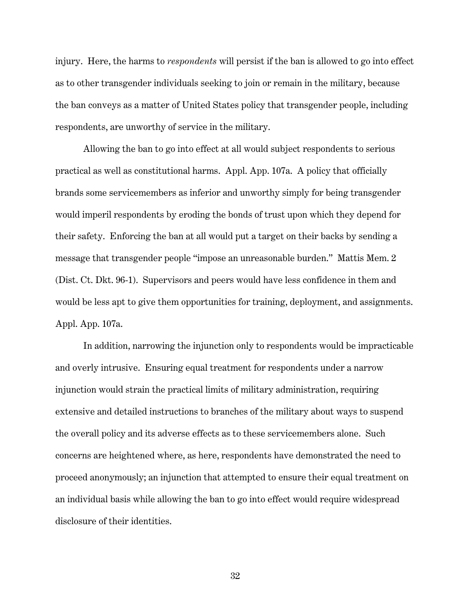injury. Here, the harms to *respondents* will persist if the ban is allowed to go into effect as to other transgender individuals seeking to join or remain in the military, because the ban conveys as a matter of United States policy that transgender people, including respondents, are unworthy of service in the military.

Allowing the ban to go into effect at all would subject respondents to serious practical as well as constitutional harms. Appl. App. 107a. A policy that officially brands some servicemembers as inferior and unworthy simply for being transgender would imperil respondents by eroding the bonds of trust upon which they depend for their safety. Enforcing the ban at all would put a target on their backs by sending a message that transgender people "impose an unreasonable burden." Mattis Mem. 2 (Dist. Ct. Dkt. 96-1). Supervisors and peers would have less confidence in them and would be less apt to give them opportunities for training, deployment, and assignments. Appl. App. 107a.

In addition, narrowing the injunction only to respondents would be impracticable and overly intrusive. Ensuring equal treatment for respondents under a narrow injunction would strain the practical limits of military administration, requiring extensive and detailed instructions to branches of the military about ways to suspend the overall policy and its adverse effects as to these servicemembers alone. Such concerns are heightened where, as here, respondents have demonstrated the need to proceed anonymously; an injunction that attempted to ensure their equal treatment on an individual basis while allowing the ban to go into effect would require widespread disclosure of their identities.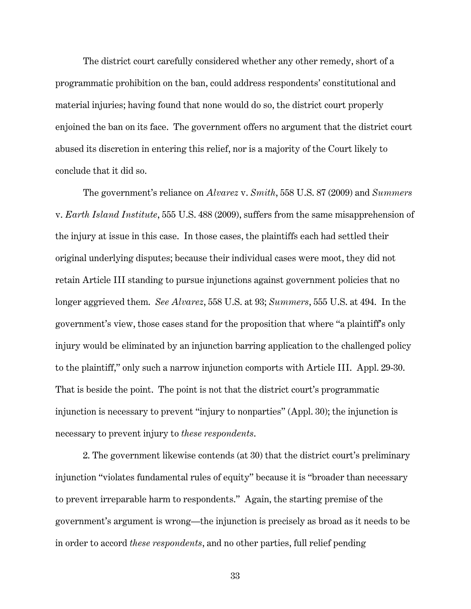The district court carefully considered whether any other remedy, short of a programmatic prohibition on the ban, could address respondents' constitutional and material injuries; having found that none would do so, the district court properly enjoined the ban on its face. The government offers no argument that the district court abused its discretion in entering this relief, nor is a majority of the Court likely to conclude that it did so.

The government's reliance on *Alvarez* v. *Smith*, 558 U.S. 87 (2009) and *Summers*  v. *Earth Island Institute*, 555 U.S. 488 (2009), suffers from the same misapprehension of the injury at issue in this case. In those cases, the plaintiffs each had settled their original underlying disputes; because their individual cases were moot, they did not retain Article III standing to pursue injunctions against government policies that no longer aggrieved them. *See Alvarez*, 558 U.S. at 93; *Summers*, 555 U.S. at 494. In the government's view, those cases stand for the proposition that where "a plaintiff's only injury would be eliminated by an injunction barring application to the challenged policy to the plaintiff," only such a narrow injunction comports with Article III. Appl. 29-30. That is beside the point. The point is not that the district court's programmatic injunction is necessary to prevent "injury to nonparties" (Appl. 30); the injunction is necessary to prevent injury to *these respondents*.

2. The government likewise contends (at 30) that the district court's preliminary injunction "violates fundamental rules of equity" because it is "broader than necessary to prevent irreparable harm to respondents." Again, the starting premise of the government's argument is wrong—the injunction is precisely as broad as it needs to be in order to accord *these respondents*, and no other parties, full relief pending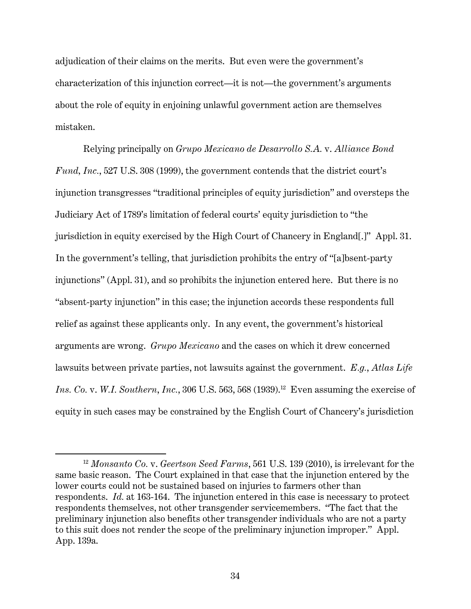adjudication of their claims on the merits. But even were the government's characterization of this injunction correct—it is not—the government's arguments about the role of equity in enjoining unlawful government action are themselves mistaken.

Relying principally on *Grupo Mexicano de Desarrollo S.A.* v. *Alliance Bond Fund, Inc.*, 527 U.S. 308 (1999), the government contends that the district court's injunction transgresses "traditional principles of equity jurisdiction" and oversteps the Judiciary Act of 1789's limitation of federal courts' equity jurisdiction to "the jurisdiction in equity exercised by the High Court of Chancery in England[.]" Appl. 31. In the government's telling, that jurisdiction prohibits the entry of "[a]bsent-party injunctions" (Appl. 31), and so prohibits the injunction entered here. But there is no "absent-party injunction" in this case; the injunction accords these respondents full relief as against these applicants only. In any event, the government's historical arguments are wrong. *Grupo Mexicano* and the cases on which it drew concerned lawsuits between private parties, not lawsuits against the government. *E.g.*, *Atlas Life Ins. Co. v. W.I. Southern, Inc.,* 306 U.S. 563, 568 (1939).<sup>12</sup> Even assuming the exercise of equity in such cases may be constrained by the English Court of Chancery's jurisdiction

<sup>12</sup> *Monsanto Co.* v. *Geertson Seed Farms*, 561 U.S. 139 (2010), is irrelevant for the same basic reason. The Court explained in that case that the injunction entered by the lower courts could not be sustained based on injuries to farmers other than respondents. *Id.* at 163-164. The injunction entered in this case is necessary to protect respondents themselves, not other transgender servicemembers. "The fact that the preliminary injunction also benefits other transgender individuals who are not a party to this suit does not render the scope of the preliminary injunction improper." Appl. App. 139a.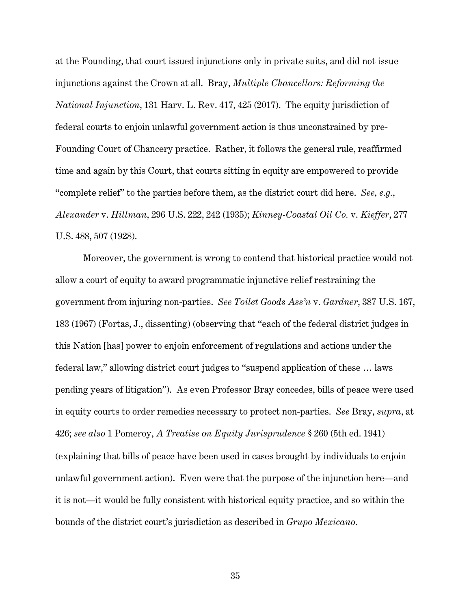at the Founding, that court issued injunctions only in private suits, and did not issue injunctions against the Crown at all. Bray, *Multiple Chancellors: Reforming the National Injunction*, 131 Harv. L. Rev. 417, 425 (2017). The equity jurisdiction of federal courts to enjoin unlawful government action is thus unconstrained by pre-Founding Court of Chancery practice. Rather, it follows the general rule, reaffirmed time and again by this Court, that courts sitting in equity are empowered to provide "complete relief" to the parties before them, as the district court did here. *See, e.g.*, *Alexander* v. *Hillman*, 296 U.S. 222, 242 (1935); *Kinney-Coastal Oil Co.* v. *Kieffer*, 277 U.S. 488, 507 (1928).

Moreover, the government is wrong to contend that historical practice would not allow a court of equity to award programmatic injunctive relief restraining the government from injuring non-parties. *See Toilet Goods Ass'n* v. *Gardner*, 387 U.S. 167, 183 (1967) (Fortas, J., dissenting) (observing that "each of the federal district judges in this Nation [has] power to enjoin enforcement of regulations and actions under the federal law," allowing district court judges to "suspend application of these … laws pending years of litigation"). As even Professor Bray concedes, bills of peace were used in equity courts to order remedies necessary to protect non-parties. *See* Bray, *supra*, at 426; *see also* 1 Pomeroy, *A Treatise on Equity Jurisprudence* § 260 (5th ed. 1941) (explaining that bills of peace have been used in cases brought by individuals to enjoin unlawful government action). Even were that the purpose of the injunction here—and it is not—it would be fully consistent with historical equity practice, and so within the bounds of the district court's jurisdiction as described in *Grupo Mexicano*.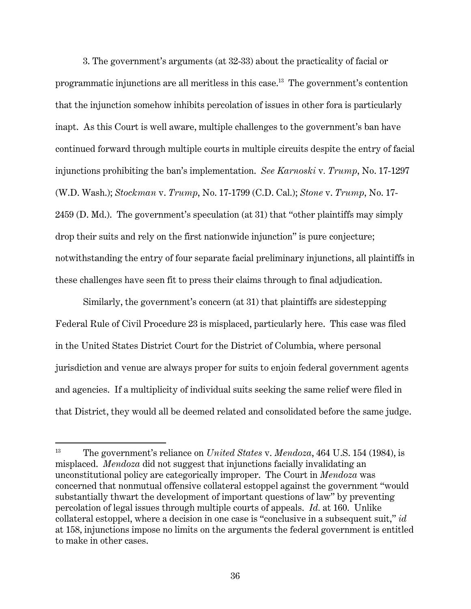3. The government's arguments (at 32-33) about the practicality of facial or programmatic injunctions are all meritless in this case.13 The government's contention that the injunction somehow inhibits percolation of issues in other fora is particularly inapt. As this Court is well aware, multiple challenges to the government's ban have continued forward through multiple courts in multiple circuits despite the entry of facial injunctions prohibiting the ban's implementation. *See Karnoski* v*. Trump*, No. 17-1297 (W.D. Wash.); *Stockman* v. *Trump*, No. 17-1799 (C.D. Cal.); *Stone* v. *Trump*, No. 17- 2459 (D. Md.). The government's speculation (at 31) that "other plaintiffs may simply drop their suits and rely on the first nationwide injunction" is pure conjecture; notwithstanding the entry of four separate facial preliminary injunctions, all plaintiffs in these challenges have seen fit to press their claims through to final adjudication.

Similarly, the government's concern (at 31) that plaintiffs are sidestepping Federal Rule of Civil Procedure 23 is misplaced, particularly here. This case was filed in the United States District Court for the District of Columbia, where personal jurisdiction and venue are always proper for suits to enjoin federal government agents and agencies. If a multiplicity of individual suits seeking the same relief were filed in that District, they would all be deemed related and consolidated before the same judge.

<sup>13</sup> The government's reliance on *United States* v. *Mendoza*, 464 U.S. 154 (1984), is misplaced. *Mendoza* did not suggest that injunctions facially invalidating an unconstitutional policy are categorically improper. The Court in *Mendoza* was concerned that nonmutual offensive collateral estoppel against the government "would substantially thwart the development of important questions of law" by preventing percolation of legal issues through multiple courts of appeals. *Id.* at 160. Unlike collateral estoppel, where a decision in one case is "conclusive in a subsequent suit," *id* at 158, injunctions impose no limits on the arguments the federal government is entitled to make in other cases.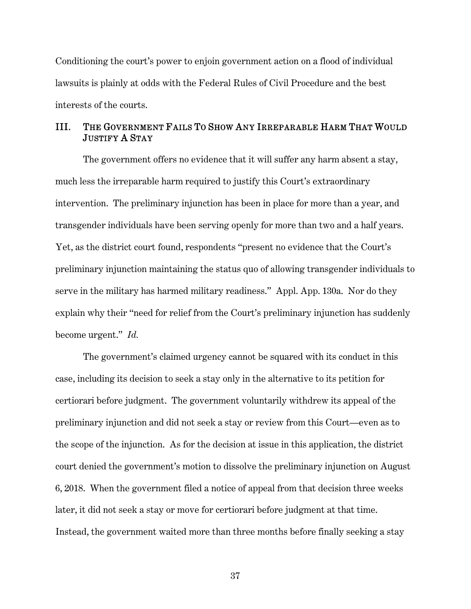Conditioning the court's power to enjoin government action on a flood of individual lawsuits is plainly at odds with the Federal Rules of Civil Procedure and the best interests of the courts.

## III. THE GOVERNMENT FAILS TO SHOW ANY IRREPARABLE HARM THAT WOULD JUSTIFY A STAY

The government offers no evidence that it will suffer any harm absent a stay, much less the irreparable harm required to justify this Court's extraordinary intervention. The preliminary injunction has been in place for more than a year, and transgender individuals have been serving openly for more than two and a half years. Yet, as the district court found, respondents "present no evidence that the Court's preliminary injunction maintaining the status quo of allowing transgender individuals to serve in the military has harmed military readiness." Appl. App. 130a. Nor do they explain why their "need for relief from the Court's preliminary injunction has suddenly become urgent." *Id.*

The government's claimed urgency cannot be squared with its conduct in this case, including its decision to seek a stay only in the alternative to its petition for certiorari before judgment. The government voluntarily withdrew its appeal of the preliminary injunction and did not seek a stay or review from this Court—even as to the scope of the injunction. As for the decision at issue in this application, the district court denied the government's motion to dissolve the preliminary injunction on August 6, 2018. When the government filed a notice of appeal from that decision three weeks later, it did not seek a stay or move for certiorari before judgment at that time. Instead, the government waited more than three months before finally seeking a stay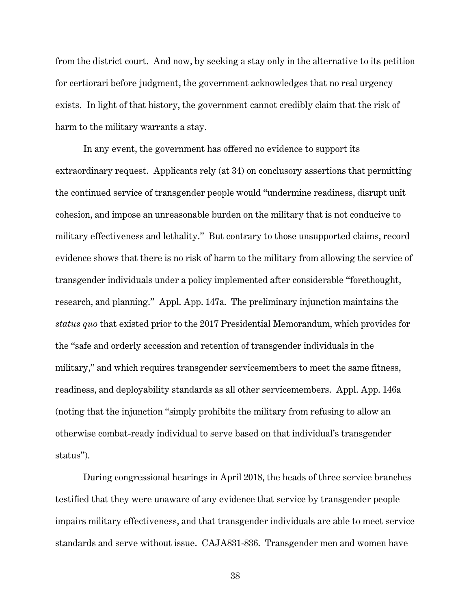from the district court. And now, by seeking a stay only in the alternative to its petition for certiorari before judgment, the government acknowledges that no real urgency exists. In light of that history, the government cannot credibly claim that the risk of harm to the military warrants a stay.

In any event, the government has offered no evidence to support its extraordinary request. Applicants rely (at 34) on conclusory assertions that permitting the continued service of transgender people would "undermine readiness, disrupt unit cohesion, and impose an unreasonable burden on the military that is not conducive to military effectiveness and lethality." But contrary to those unsupported claims, record evidence shows that there is no risk of harm to the military from allowing the service of transgender individuals under a policy implemented after considerable "forethought, research, and planning." Appl. App. 147a. The preliminary injunction maintains the *status quo* that existed prior to the 2017 Presidential Memorandum, which provides for the "safe and orderly accession and retention of transgender individuals in the military," and which requires transgender servicemembers to meet the same fitness, readiness, and deployability standards as all other servicemembers. Appl. App. 146a (noting that the injunction "simply prohibits the military from refusing to allow an otherwise combat-ready individual to serve based on that individual's transgender status").

During congressional hearings in April 2018, the heads of three service branches testified that they were unaware of any evidence that service by transgender people impairs military effectiveness, and that transgender individuals are able to meet service standards and serve without issue. CAJA831-836. Transgender men and women have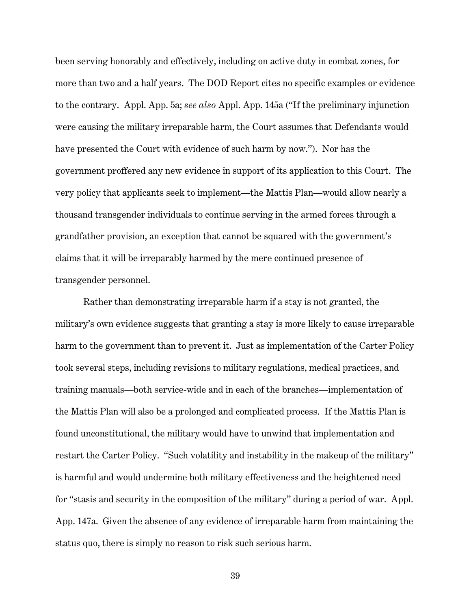been serving honorably and effectively, including on active duty in combat zones, for more than two and a half years. The DOD Report cites no specific examples or evidence to the contrary. Appl. App. 5a; *see also* Appl. App. 145a ("If the preliminary injunction were causing the military irreparable harm, the Court assumes that Defendants would have presented the Court with evidence of such harm by now."). Nor has the government proffered any new evidence in support of its application to this Court. The very policy that applicants seek to implement—the Mattis Plan—would allow nearly a thousand transgender individuals to continue serving in the armed forces through a grandfather provision, an exception that cannot be squared with the government's claims that it will be irreparably harmed by the mere continued presence of transgender personnel.

Rather than demonstrating irreparable harm if a stay is not granted, the military's own evidence suggests that granting a stay is more likely to cause irreparable harm to the government than to prevent it. Just as implementation of the Carter Policy took several steps, including revisions to military regulations, medical practices, and training manuals—both service-wide and in each of the branches—implementation of the Mattis Plan will also be a prolonged and complicated process. If the Mattis Plan is found unconstitutional, the military would have to unwind that implementation and restart the Carter Policy. "Such volatility and instability in the makeup of the military" is harmful and would undermine both military effectiveness and the heightened need for "stasis and security in the composition of the military" during a period of war. Appl. App. 147a. Given the absence of any evidence of irreparable harm from maintaining the status quo, there is simply no reason to risk such serious harm.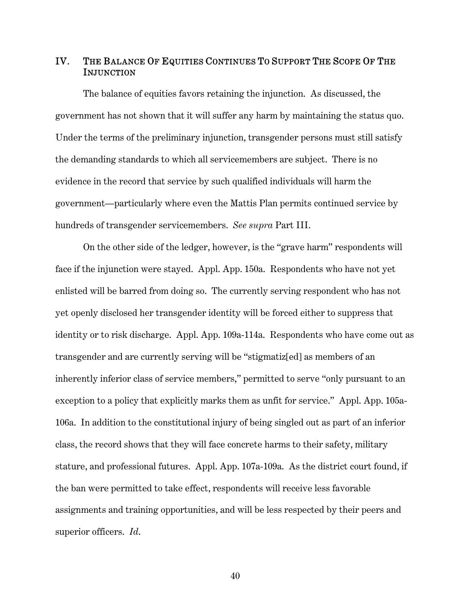## IV. THE BALANCE OF EQUITIES CONTINUES TO SUPPORT THE SCOPE OF THE **INJUNCTION**

The balance of equities favors retaining the injunction. As discussed, the government has not shown that it will suffer any harm by maintaining the status quo. Under the terms of the preliminary injunction, transgender persons must still satisfy the demanding standards to which all servicemembers are subject. There is no evidence in the record that service by such qualified individuals will harm the government—particularly where even the Mattis Plan permits continued service by hundreds of transgender servicemembers. *See supra* Part III.

On the other side of the ledger, however, is the "grave harm" respondents will face if the injunction were stayed. Appl. App. 150a. Respondents who have not yet enlisted will be barred from doing so. The currently serving respondent who has not yet openly disclosed her transgender identity will be forced either to suppress that identity or to risk discharge. Appl. App. 109a-114a. Respondents who have come out as transgender and are currently serving will be "stigmatiz[ed] as members of an inherently inferior class of service members," permitted to serve "only pursuant to an exception to a policy that explicitly marks them as unfit for service." Appl. App. 105a-106a. In addition to the constitutional injury of being singled out as part of an inferior class, the record shows that they will face concrete harms to their safety, military stature, and professional futures. Appl. App. 107a-109a. As the district court found, if the ban were permitted to take effect, respondents will receive less favorable assignments and training opportunities, and will be less respected by their peers and superior officers. *Id*.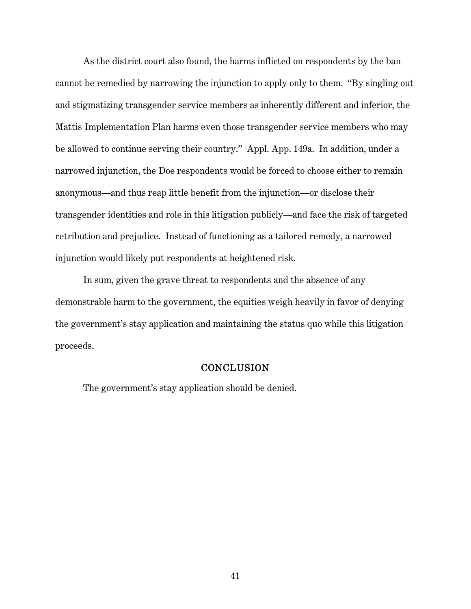As the district court also found, the harms inflicted on respondents by the ban cannot be remedied by narrowing the injunction to apply only to them. "By singling out and stigmatizing transgender service members as inherently different and inferior, the Mattis Implementation Plan harms even those transgender service members who may be allowed to continue serving their country." Appl. App. 149a. In addition, under a narrowed injunction, the Doe respondents would be forced to choose either to remain anonymous—and thus reap little benefit from the injunction—or disclose their transgender identities and role in this litigation publicly—and face the risk of targeted retribution and prejudice. Instead of functioning as a tailored remedy, a narrowed injunction would likely put respondents at heightened risk.

In sum, given the grave threat to respondents and the absence of any demonstrable harm to the government, the equities weigh heavily in favor of denying the government's stay application and maintaining the status quo while this litigation proceeds.

#### **CONCLUSION**

The government's stay application should be denied.